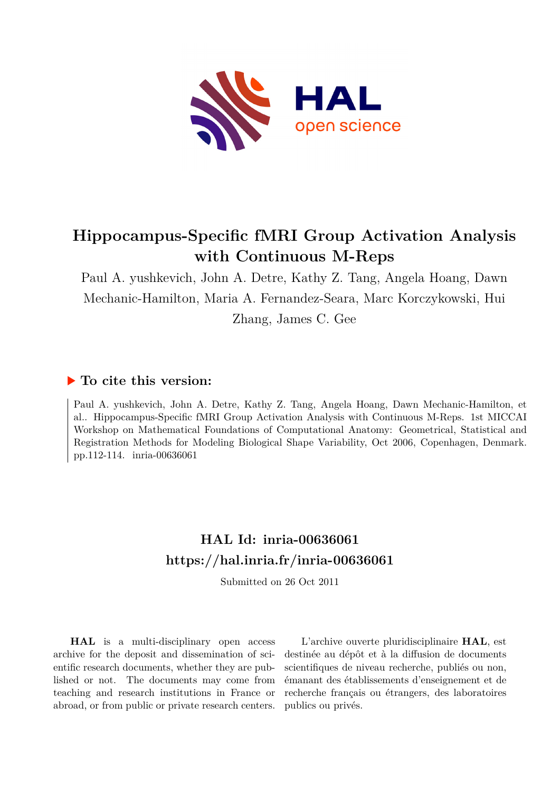

# **Hippocampus-Specific fMRI Group Activation Analysis with Continuous M-Reps**

Paul A. yushkevich, John A. Detre, Kathy Z. Tang, Angela Hoang, Dawn Mechanic-Hamilton, Maria A. Fernandez-Seara, Marc Korczykowski, Hui

Zhang, James C. Gee

## **To cite this version:**

Paul A. yushkevich, John A. Detre, Kathy Z. Tang, Angela Hoang, Dawn Mechanic-Hamilton, et al.. Hippocampus-Specific fMRI Group Activation Analysis with Continuous M-Reps. 1st MICCAI Workshop on Mathematical Foundations of Computational Anatomy: Geometrical, Statistical and Registration Methods for Modeling Biological Shape Variability, Oct 2006, Copenhagen, Denmark. pp.112-114. inria-00636061

## **HAL Id: inria-00636061 <https://hal.inria.fr/inria-00636061>**

Submitted on 26 Oct 2011

**HAL** is a multi-disciplinary open access archive for the deposit and dissemination of scientific research documents, whether they are published or not. The documents may come from teaching and research institutions in France or abroad, or from public or private research centers.

L'archive ouverte pluridisciplinaire **HAL**, est destinée au dépôt et à la diffusion de documents scientifiques de niveau recherche, publiés ou non, émanant des établissements d'enseignement et de recherche français ou étrangers, des laboratoires publics ou privés.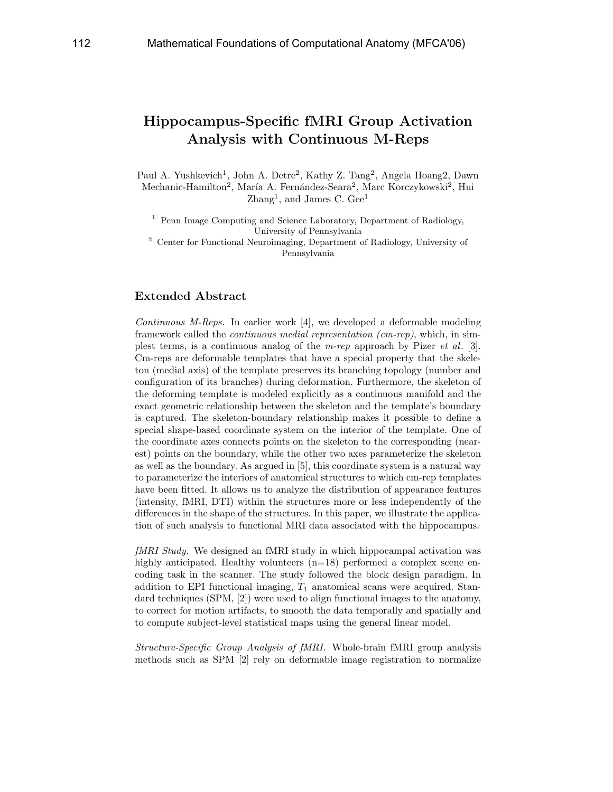## Hippocampus-Specific fMRI Group Activation Analysis with Continuous M-Reps

Paul A. Yushkevich<sup>1</sup>, John A. Detre<sup>2</sup>, Kathy Z. Tang<sup>2</sup>, Angela Hoang2, Dawn Mechanic-Hamilton<sup>2</sup>, María A. Fernández-Seara<sup>2</sup>, Marc Korczykowski<sup>2</sup>, Hui Zhang<sup>1</sup>, and James C. Gee<sup>1</sup>

<sup>1</sup> Penn Image Computing and Science Laboratory, Department of Radiology, University of Pennsylvania

<sup>2</sup> Center for Functional Neuroimaging, Department of Radiology, University of Pennsylvania

### Extended Abstract

Continuous M-Reps. In earlier work [4], we developed a deformable modeling framework called the continuous medial representation (cm-rep), which, in simplest terms, is a continuous analog of the m-rep approach by Pizer et al. [3]. Cm-reps are deformable templates that have a special property that the skeleton (medial axis) of the template preserves its branching topology (number and configuration of its branches) during deformation. Furthermore, the skeleton of the deforming template is modeled explicitly as a continuous manifold and the exact geometric relationship between the skeleton and the template's boundary is captured. The skeleton-boundary relationship makes it possible to define a special shape-based coordinate system on the interior of the template. One of the coordinate axes connects points on the skeleton to the corresponding (nearest) points on the boundary, while the other two axes parameterize the skeleton as well as the boundary. As argued in [5], this coordinate system is a natural way to parameterize the interiors of anatomical structures to which cm-rep templates have been fitted. It allows us to analyze the distribution of appearance features (intensity, fMRI, DTI) within the structures more or less independently of the differences in the shape of the structures. In this paper, we illustrate the application of such analysis to functional MRI data associated with the hippocampus.

fMRI Study. We designed an fMRI study in which hippocampal activation was highly anticipated. Healthy volunteers (n=18) performed a complex scene encoding task in the scanner. The study followed the block design paradigm. In addition to EPI functional imaging,  $T_1$  anatomical scans were acquired. Standard techniques (SPM, [2]) were used to align functional images to the anatomy, to correct for motion artifacts, to smooth the data temporally and spatially and to compute subject-level statistical maps using the general linear model.

Structure-Specific Group Analysis of fMRI. Whole-brain fMRI group analysis methods such as SPM [2] rely on deformable image registration to normalize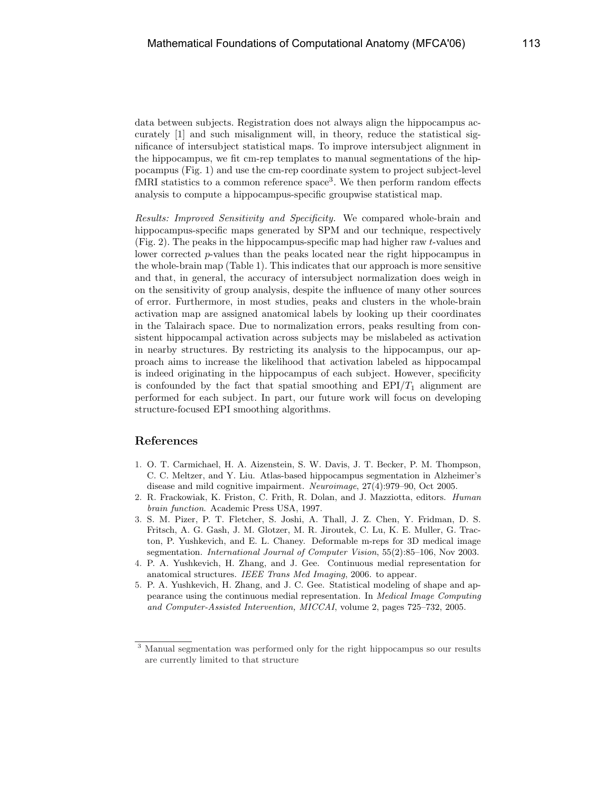data between subjects. Registration does not always align the hippocampus accurately [1] and such misalignment will, in theory, reduce the statistical significance of intersubject statistical maps. To improve intersubject alignment in the hippocampus, we fit cm-rep templates to manual segmentations of the hippocampus (Fig. 1) and use the cm-rep coordinate system to project subject-level fMRI statistics to a common reference space<sup>3</sup>. We then perform random effects analysis to compute a hippocampus-specific groupwise statistical map.

Results: Improved Sensitivity and Specificity. We compared whole-brain and hippocampus-specific maps generated by SPM and our technique, respectively (Fig. 2). The peaks in the hippocampus-specific map had higher raw t-values and lower corrected p-values than the peaks located near the right hippocampus in the whole-brain map (Table 1). This indicates that our approach is more sensitive and that, in general, the accuracy of intersubject normalization does weigh in on the sensitivity of group analysis, despite the influence of many other sources of error. Furthermore, in most studies, peaks and clusters in the whole-brain activation map are assigned anatomical labels by looking up their coordinates in the Talairach space. Due to normalization errors, peaks resulting from consistent hippocampal activation across subjects may be mislabeled as activation in nearby structures. By restricting its analysis to the hippocampus, our approach aims to increase the likelihood that activation labeled as hippocampal is indeed originating in the hippocampus of each subject. However, specificity is confounded by the fact that spatial smoothing and  $EPI/T_1$  alignment are performed for each subject. In part, our future work will focus on developing structure-focused EPI smoothing algorithms.

#### References

- 1. O. T. Carmichael, H. A. Aizenstein, S. W. Davis, J. T. Becker, P. M. Thompson, C. C. Meltzer, and Y. Liu. Atlas-based hippocampus segmentation in Alzheimer's disease and mild cognitive impairment. Neuroimage, 27(4):979–90, Oct 2005.
- 2. R. Frackowiak, K. Friston, C. Frith, R. Dolan, and J. Mazziotta, editors. Human brain function. Academic Press USA, 1997.
- 3. S. M. Pizer, P. T. Fletcher, S. Joshi, A. Thall, J. Z. Chen, Y. Fridman, D. S. Fritsch, A. G. Gash, J. M. Glotzer, M. R. Jiroutek, C. Lu, K. E. Muller, G. Tracton, P. Yushkevich, and E. L. Chaney. Deformable m-reps for 3D medical image segmentation. International Journal of Computer Vision, 55(2):85–106, Nov 2003.
- 4. P. A. Yushkevich, H. Zhang, and J. Gee. Continuous medial representation for anatomical structures. IEEE Trans Med Imaging, 2006. to appear.
- 5. P. A. Yushkevich, H. Zhang, and J. C. Gee. Statistical modeling of shape and appearance using the continuous medial representation. In Medical Image Computing and Computer-Assisted Intervention, MICCAI, volume 2, pages 725–732, 2005.

<sup>3</sup> Manual segmentation was performed only for the right hippocampus so our results are currently limited to that structure